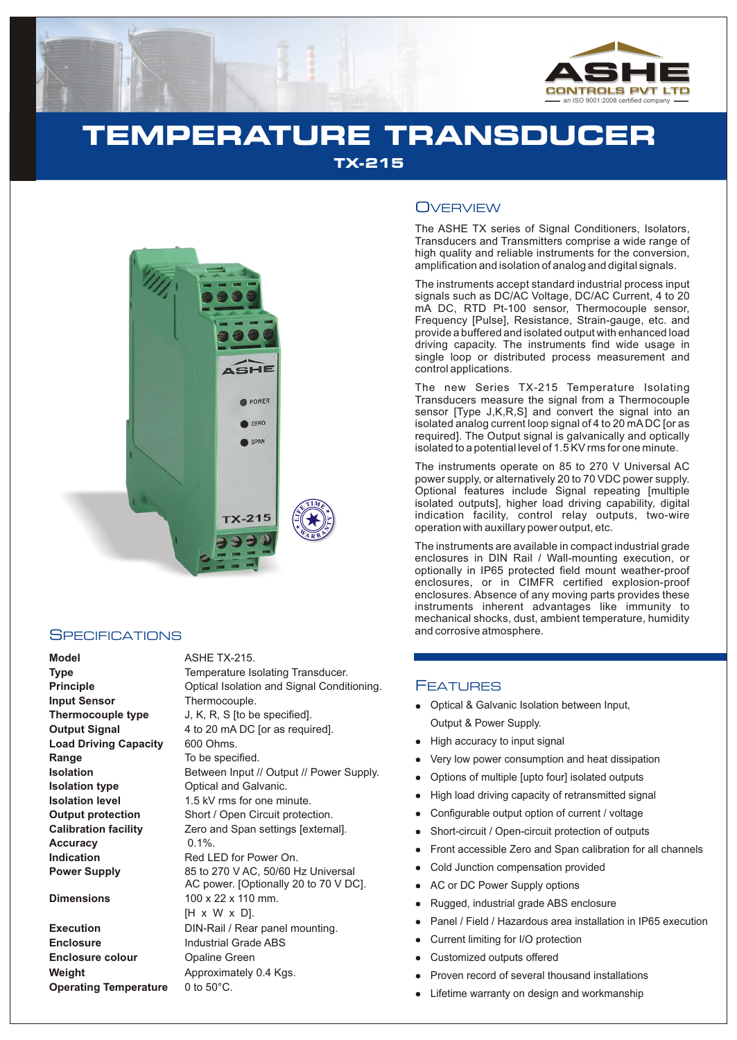

# **TEMPERATURE TRANSDUCER TX-215**



## **SPECIFICATIONS**

**Model** ASHE TX-215. **Principle Input Sensor Thermocouple type Output Signal Load Driving Capacity Range Isolation Isolation type Isolation level Output protection Calibration facility Accuracy Indication Power Supply** 

**Execution Enclosure Enclosure colour Weight Operating Temperature** 0 to 50°C.

| Type                         | Temperature Isolating Transducer.                                           |
|------------------------------|-----------------------------------------------------------------------------|
| <b>Principle</b>             | Optical Isolation and Signal Conditioning.                                  |
| Input Sensor                 | Thermocouple.                                                               |
| <b>Thermocouple type</b>     | J, K, R, S [to be specified].                                               |
| <b>Output Signal</b>         | 4 to 20 mA DC [or as required].                                             |
| <b>Load Driving Capacity</b> | 600 Ohms.                                                                   |
| Range                        | To be specified.                                                            |
| Isolation                    | Between Input // Output // Power Supply.                                    |
| Isolation type               | Optical and Galvanic.                                                       |
| <b>Isolation level</b>       | 1.5 kV rms for one minute.                                                  |
| <b>Output protection</b>     | Short / Open Circuit protection.                                            |
| <b>Calibration facility</b>  | Zero and Span settings [external].                                          |
| Accuracy                     | $0.1\%$ .                                                                   |
| Indication                   | Red LED for Power On.                                                       |
| <b>Power Supply</b>          | 85 to 270 V AC, 50/60 Hz Universal<br>AC power. [Optionally 20 to 70 V DC]. |
| <b>Dimensions</b>            | $100 \times 22 \times 110$ mm.                                              |
|                              | [H x W x D].                                                                |
| Execution                    | DIN-Rail / Rear panel mounting.                                             |
| <b>Enclosure</b>             | <b>Industrial Grade ABS</b>                                                 |
| <b>Enclosure colour</b>      | Opaline Green                                                               |
| Weiaht                       | Approximately 0.4 Kgs.                                                      |

## **OVERVIEW**

The ASHE TX series of Signal Conditioners, Isolators, Transducers and Transmitters comprise a wide range of high quality and reliable instruments for the conversion, amplification and isolation of analog and digital signals.

The instruments accept standard industrial process input signals such as DC/AC Voltage, DC/AC Current, 4 to 20 mA DC, RTD Pt-100 sensor, Thermocouple sensor, Frequency [Pulse], Resistance, Strain-gauge, etc. and provide a buffered and isolated output with enhanced load driving capacity. The instruments find wide usage in single loop or distributed process measurement and control applications.

The new Series TX-215 Temperature Isolating Transducers measure the signal from a Thermocouple sensor [Type J,K,R,S] and convert the signal into an isolated analog current loop signal of 4 to 20 mADC [or as required]. The Output signal is galvanically and optically isolated to a potential level of 1.5 KV rms for one minute.

The instruments operate on 85 to 270 V Universal AC power supply, or alternatively 20 to 70 VDC power supply. Optional features include Signal repeating [multiple isolated outputs], higher load driving capability, digital indication facility, control relay outputs, two-wire operation with auxillary power output, etc.

The instruments are available in compact industrial grade enclosures in DIN Rail / Wall-mounting execution, or optionally in IP65 protected field mount weather-proof enclosures, or in CIMFR certified explosion-proof enclosures. Absence of any moving parts provides these instruments inherent advantages like immunity to mechanical shocks, dust, ambient temperature, humidity and corrosive atmosphere.

### **FEATURES**

- Optical & Galvanic Isolation between Input, Output & Power Supply.
- High accuracy to input signal
- llighter and the Highter School Show From School Controller and School Controller and School Controller and School Controller and School Controller and School Controller and School Controller and School School Controller a Very low power consumption and heat dissipation
- Options of multiple [upto four] isolated outputs
- High load driving capacity of retransmitted signal
- Configurable output option of current / voltage
- Short-circuit / Open-circuit protection of outputs
- Front accessible Zero and Span calibration for all channels
- Cold Junction compensation provided
- AC or DC Power Supply options
- Rugged, industrial grade ABS enclosure
- Panel / Field / Hazardous area installation in IP65 execution
- Current limiting for I/O protection
- Customized outputs offered
- Proven record of several thousand installations
- Lifetime warranty on design and workmanship